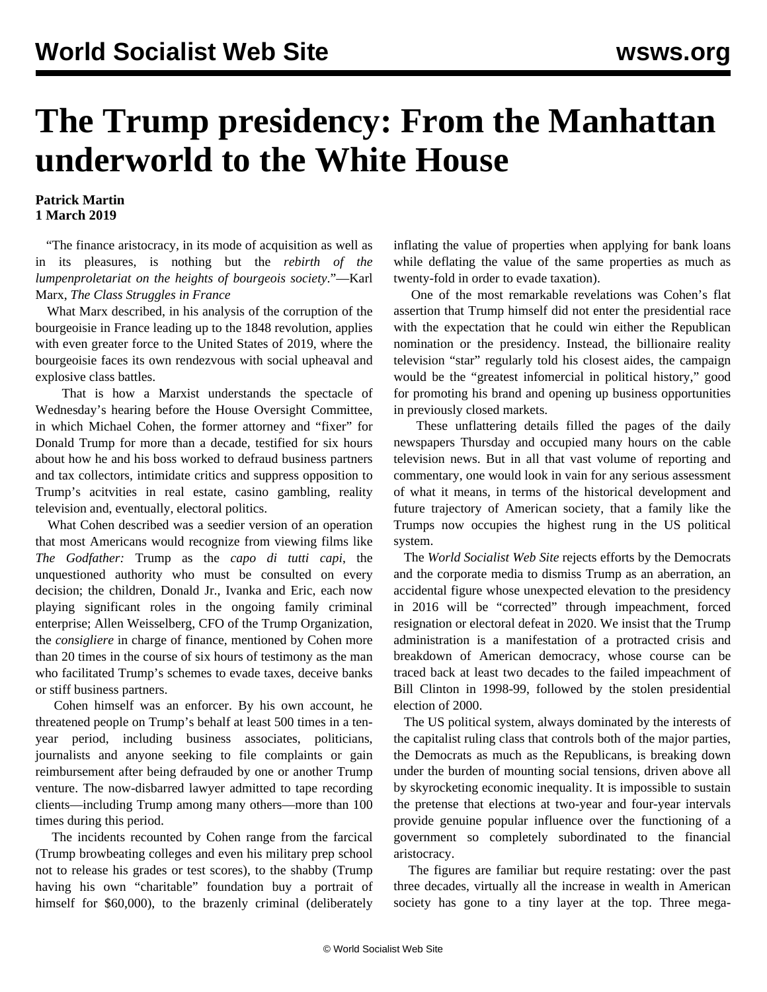## **The Trump presidency: From the Manhattan underworld to the White House**

## **Patrick Martin 1 March 2019**

 "The finance aristocracy, in its mode of acquisition as well as in its pleasures, is nothing but the *rebirth of the lumpenproletariat on the heights of bourgeois society*."—Karl Marx, *The Class Struggles in France*

 What Marx described, in his analysis of the corruption of the bourgeoisie in France leading up to the 1848 revolution, applies with even greater force to the United States of 2019, where the bourgeoisie faces its own rendezvous with social upheaval and explosive class battles.

 That is how a Marxist understands the spectacle of Wednesday's hearing before the House Oversight Committee, in which Michael Cohen, the former attorney and "fixer" for Donald Trump for more than a decade, testified for six hours about how he and his boss worked to defraud business partners and tax collectors, intimidate critics and suppress opposition to Trump's acitvities in real estate, casino gambling, reality television and, eventually, electoral politics.

 What Cohen described was a seedier version of an operation that most Americans would recognize from viewing films like *The Godfather:* Trump as the *capo di tutti capi*, the unquestioned authority who must be consulted on every decision; the children, Donald Jr., Ivanka and Eric, each now playing significant roles in the ongoing family criminal enterprise; Allen Weisselberg, CFO of the Trump Organization, the *consigliere* in charge of finance, mentioned by Cohen more than 20 times in the course of six hours of testimony as the man who facilitated Trump's schemes to evade taxes, deceive banks or stiff business partners.

 Cohen himself was an enforcer. By his own account, he threatened people on Trump's behalf at least 500 times in a tenyear period, including business associates, politicians, journalists and anyone seeking to file complaints or gain reimbursement after being defrauded by one or another Trump venture. The now-disbarred lawyer admitted to tape recording clients—including Trump among many others—more than 100 times during this period.

 The incidents recounted by Cohen range from the farcical (Trump browbeating colleges and even his military prep school not to release his grades or test scores), to the shabby (Trump having his own "charitable" foundation buy a portrait of himself for \$60,000), to the brazenly criminal (deliberately

inflating the value of properties when applying for bank loans while deflating the value of the same properties as much as twenty-fold in order to evade taxation).

 One of the most remarkable revelations was Cohen's flat assertion that Trump himself did not enter the presidential race with the expectation that he could win either the Republican nomination or the presidency. Instead, the billionaire reality television "star" regularly told his closest aides, the campaign would be the "greatest infomercial in political history," good for promoting his brand and opening up business opportunities in previously closed markets.

 These unflattering details filled the pages of the daily newspapers Thursday and occupied many hours on the cable television news. But in all that vast volume of reporting and commentary, one would look in vain for any serious assessment of what it means, in terms of the historical development and future trajectory of American society, that a family like the Trumps now occupies the highest rung in the US political system.

 The *World Socialist Web Site* rejects efforts by the Democrats and the corporate media to dismiss Trump as an aberration, an accidental figure whose unexpected elevation to the presidency in 2016 will be "corrected" through impeachment, forced resignation or electoral defeat in 2020. We insist that the Trump administration is a manifestation of a protracted crisis and breakdown of American democracy, whose course can be traced back at least two decades to the failed impeachment of Bill Clinton in 1998-99, followed by the stolen presidential election of 2000.

 The US political system, always dominated by the interests of the capitalist ruling class that controls both of the major parties, the Democrats as much as the Republicans, is breaking down under the burden of mounting social tensions, driven above all by skyrocketing economic inequality. It is impossible to sustain the pretense that elections at two-year and four-year intervals provide genuine popular influence over the functioning of a government so completely subordinated to the financial aristocracy.

 The figures are familiar but require restating: over the past three decades, virtually all the increase in wealth in American society has gone to a tiny layer at the top. Three mega